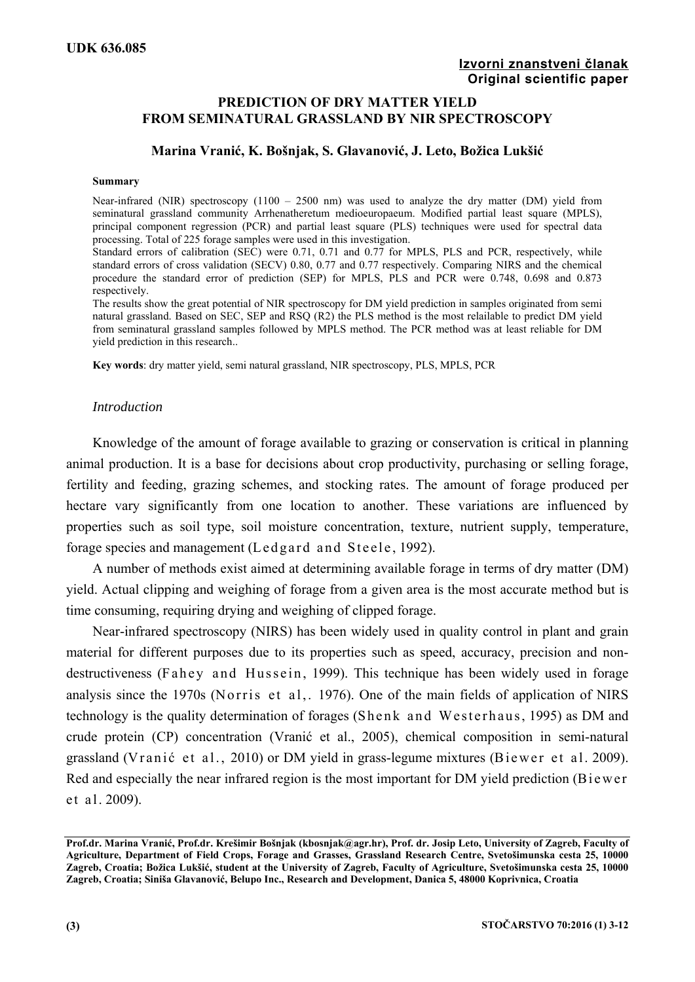# **PREDICTION OF DRY MATTER YIELD FROM SEMINATURAL GRASSLAND BY NIR SPECTROSCOPY**

# **Marina Vranić, K. Bošnjak, S. Glavanović, J. Leto, Božica Lukšić**

#### **Summary**

Near-infrared (NIR) spectroscopy  $(1100 - 2500)$  nm) was used to analyze the dry matter (DM) yield from seminatural grassland community Arrhenatheretum medioeuropaeum. Modified partial least square (MPLS), principal component regression (PCR) and partial least square (PLS) techniques were used for spectral data processing. Total of 225 forage samples were used in this investigation.

Standard errors of calibration (SEC) were 0.71, 0.71 and 0.77 for MPLS, PLS and PCR, respectively, while standard errors of cross validation (SECV) 0.80, 0.77 and 0.77 respectively. Comparing NIRS and the chemical procedure the standard error of prediction (SEP) for MPLS, PLS and PCR were 0.748, 0.698 and 0.873 respectively.

The results show the great potential of NIR spectroscopy for DM yield prediction in samples originated from semi natural grassland. Based on SEC, SEP and RSQ (R2) the PLS method is the most relailable to predict DM yield from seminatural grassland samples followed by MPLS method. The PCR method was at least reliable for DM yield prediction in this research..

**Key words**: dry matter yield, semi natural grassland, NIR spectroscopy, PLS, MPLS, PCR

## *Introduction*

Knowledge of the amount of forage available to grazing or conservation is critical in planning animal production. It is a base for decisions about crop productivity, purchasing or selling forage, fertility and feeding, grazing schemes, and stocking rates. The amount of forage produced per hectare vary significantly from one location to another. These variations are influenced by properties such as soil type, soil moisture concentration, texture, nutrient supply, temperature, forage species and management (Ledgard and Steele, 1992).

A number of methods exist aimed at determining available forage in terms of dry matter (DM) yield. Actual clipping and weighing of forage from a given area is the most accurate method but is time consuming, requiring drying and weighing of clipped forage.

Near-infrared spectroscopy (NIRS) has been widely used in quality control in plant and grain material for different purposes due to its properties such as speed, accuracy, precision and nondestructiveness (Fahey and Hussein, 1999). This technique has been widely used in forage analysis since the 1970s (Norris et al,. 1976). One of the main fields of application of NIRS technology is the quality determination of forages (Shenk and Westerhaus, 1995) as DM and crude protein (CP) concentration (Vranić et al., 2005), chemical composition in semi-natural grassland (Vranić et al., 2010) or DM yield in grass-legume mixtures (Biewer et al. 2009). Red and especially the near infrared region is the most important for DM yield prediction (Bi e wer et al. 2009).

**Prof.dr. Marina Vranić, Prof.dr. Krešimir Bošnjak (kbosnjak@agr.hr), Prof. dr. Josip Leto, University of Zagreb, Faculty of Agriculture, Department of Field Crops, Forage and Grasses, Grassland Research Centre, Svetošimunska cesta 25, 10000 Zagreb, Croatia; Božica Lukšić, student at the University of Zagreb, Faculty of Agriculture, Svetošimunska cesta 25, 10000 Zagreb, Croatia; Siniša Glavanović, Belupo Inc., Research and Development, Danica 5, 48000 Koprivnica, Croatia**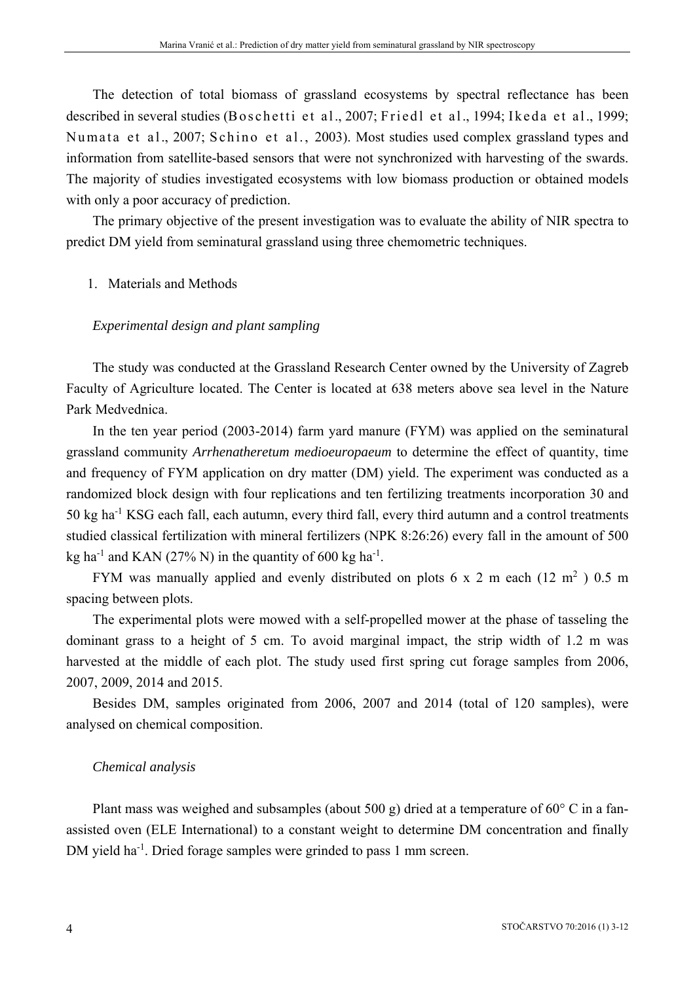The detection of total biomass of grassland ecosystems by spectral reflectance has been described in several studies (Boschetti et al., 2007; Friedl et al., 1994; Ikeda et al., 1999; Numata et al., 2007; Schino et al., 2003). Most studies used complex grassland types and information from satellite-based sensors that were not synchronized with harvesting of the swards. The majority of studies investigated ecosystems with low biomass production or obtained models with only a poor accuracy of prediction.

The primary objective of the present investigation was to evaluate the ability of NIR spectra to predict DM yield from seminatural grassland using three chemometric techniques.

## 1. Materials and Methods

## *Experimental design and plant sampling*

The study was conducted at the Grassland Research Center owned by the University of Zagreb Faculty of Agriculture located. The Center is located at 638 meters above sea level in the Nature Park Medvednica.

In the ten year period (2003-2014) farm yard manure (FYM) was applied on the seminatural grassland community *Arrhenatheretum medioeuropaeum* to determine the effect of quantity, time and frequency of FYM application on dry matter (DM) yield. The experiment was conducted as a randomized block design with four replications and ten fertilizing treatments incorporation 30 and 50 kg ha-1 KSG each fall, each autumn, every third fall, every third autumn and a control treatments studied classical fertilization with mineral fertilizers (NPK 8:26:26) every fall in the amount of 500 kg ha<sup>-1</sup> and KAN (27% N) in the quantity of 600 kg ha<sup>-1</sup>.

FYM was manually applied and evenly distributed on plots 6 x 2 m each (12 m<sup>2</sup>) 0.5 m spacing between plots.

The experimental plots were mowed with a self-propelled mower at the phase of tasseling the dominant grass to a height of 5 cm. To avoid marginal impact, the strip width of 1.2 m was harvested at the middle of each plot. The study used first spring cut forage samples from 2006, 2007, 2009, 2014 and 2015.

Besides DM, samples originated from 2006, 2007 and 2014 (total of 120 samples), were analysed on chemical composition.

## *Chemical analysis*

Plant mass was weighed and subsamples (about 500 g) dried at a temperature of  $60^{\circ}$  C in a fanassisted oven (ELE International) to a constant weight to determine DM concentration and finally DM yield ha<sup>-1</sup>. Dried forage samples were grinded to pass 1 mm screen.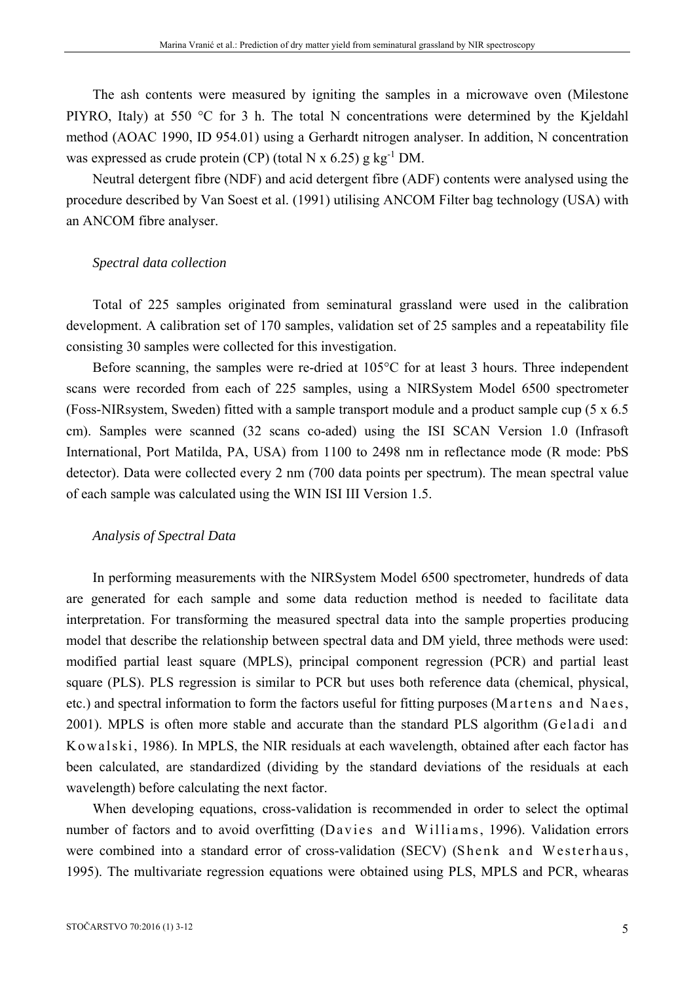The ash contents were measured by igniting the samples in a microwave oven (Milestone PIYRO, Italy) at 550 °C for 3 h. The total N concentrations were determined by the Kjeldahl method (AOAC 1990, ID 954.01) using a Gerhardt nitrogen analyser. In addition, N concentration was expressed as crude protein (CP) (total N x  $6.25$ ) g kg<sup>-1</sup> DM.

Neutral detergent fibre (NDF) and acid detergent fibre (ADF) contents were analysed using the procedure described by Van Soest et al. (1991) utilising ANCOM Filter bag technology (USA) with an ANCOM fibre analyser.

## *Spectral data collection*

Total of 225 samples originated from seminatural grassland were used in the calibration development. A calibration set of 170 samples, validation set of 25 samples and a repeatability file consisting 30 samples were collected for this investigation.

Before scanning, the samples were re-dried at 105°C for at least 3 hours. Three independent scans were recorded from each of 225 samples, using a NIRSystem Model 6500 spectrometer (Foss-NIRsystem, Sweden) fitted with a sample transport module and a product sample cup (5 x 6.5 cm). Samples were scanned (32 scans co-aded) using the ISI SCAN Version 1.0 (Infrasoft International, Port Matilda, PA, USA) from 1100 to 2498 nm in reflectance mode (R mode: PbS detector). Data were collected every 2 nm (700 data points per spectrum). The mean spectral value of each sample was calculated using the WIN ISI III Version 1.5.

#### *Analysis of Spectral Data*

In performing measurements with the NIRSystem Model 6500 spectrometer, hundreds of data are generated for each sample and some data reduction method is needed to facilitate data interpretation. For transforming the measured spectral data into the sample properties producing model that describe the relationship between spectral data and DM yield, three methods were used: modified partial least square (MPLS), principal component regression (PCR) and partial least square (PLS). PLS regression is similar to PCR but uses both reference data (chemical, physical, etc.) and spectral information to form the factors useful for fitting purposes (Martens and Naes, 2001). MPLS is often more stable and accurate than the standard PLS algorithm (Geladi and Kowalski, 1986). In MPLS, the NIR residuals at each wavelength, obtained after each factor has been calculated, are standardized (dividing by the standard deviations of the residuals at each wavelength) before calculating the next factor.

When developing equations, cross-validation is recommended in order to select the optimal number of factors and to avoid overfitting (Davies and Williams, 1996). Validation errors were combined into a standard error of cross-validation (SECV) (Shenk and Westerhaus, 1995). The multivariate regression equations were obtained using PLS, MPLS and PCR, whearas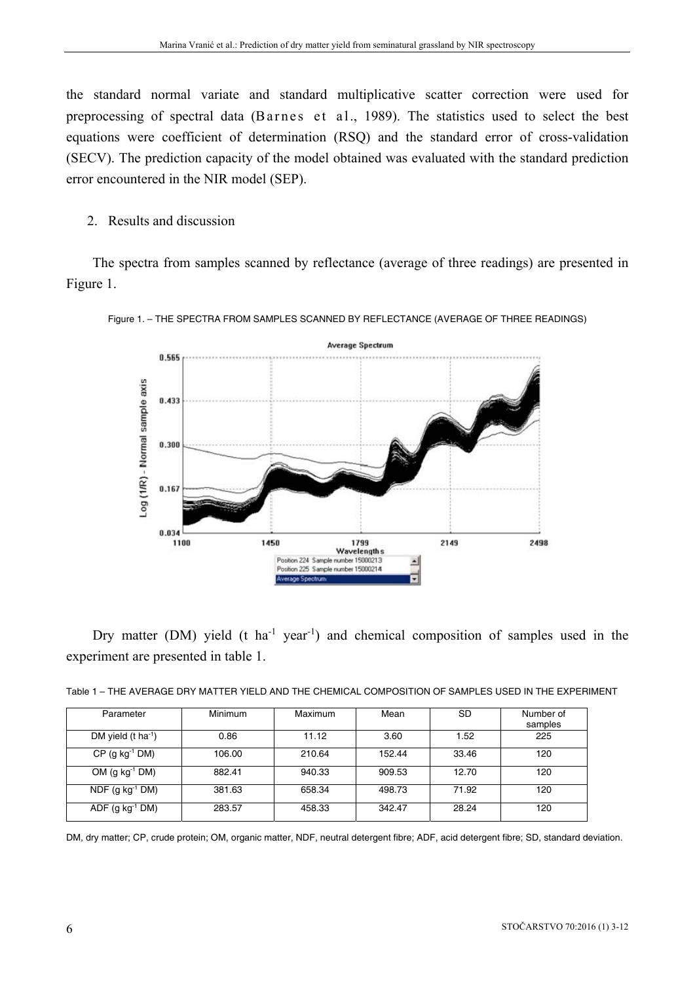the standard normal variate and standard multiplicative scatter correction were used for preprocessing of spectral data (Barnes et al., 1989). The statistics used to select the best equations were coefficient of determination (RSQ) and the standard error of cross-validation (SECV). The prediction capacity of the model obtained was evaluated with the standard prediction error encountered in the NIR model (SEP).

2. Results and discussion

The spectra from samples scanned by reflectance (average of three readings) are presented in Figure 1.





Dry matter (DM) yield (t ha<sup>-1</sup> year<sup>-1</sup>) and chemical composition of samples used in the experiment are presented in table 1.

| Parameter                      | Minimum | Maximum | Mean   | <b>SD</b> | Number of<br>samples |
|--------------------------------|---------|---------|--------|-----------|----------------------|
| DM yield $(t \text{ ha}^{-1})$ | 0.86    | 11.12   | 3.60   | 1.52      | 225                  |
| $CP$ (g kg <sup>-1</sup> DM)   | 106.00  | 210.64  | 152.44 | 33.46     | 120                  |
| OM $(g kg^{-1} DM)$            | 882.41  | 940.33  | 909.53 | 12.70     | 120                  |
| $NDF$ (g kg <sup>-1</sup> DM)  | 381.63  | 658.34  | 498.73 | 71.92     | 120                  |
| $ADE$ (g kg <sup>-1</sup> DM)  | 283.57  | 458.33  | 342.47 | 28.24     | 120                  |

DM, dry matter; CP, crude protein; OM, organic matter, NDF, neutral detergent fibre; ADF, acid detergent fibre; SD, standard deviation.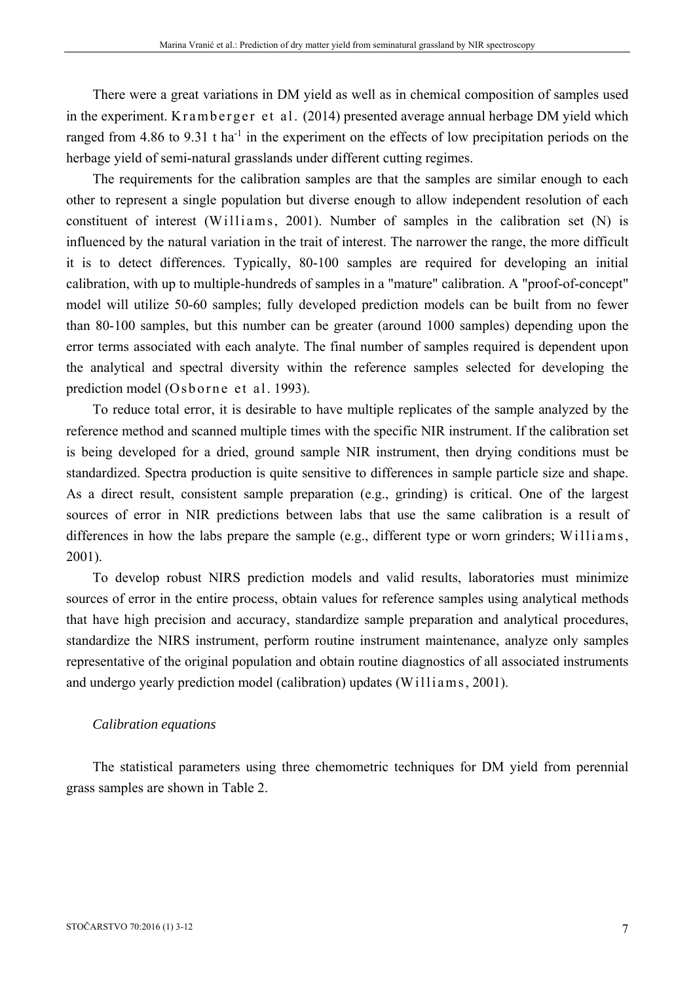There were a great variations in DM yield as well as in chemical composition of samples used in the experiment. Kramberger et al. (2014) presented average annual herbage DM yield which ranged from 4.86 to 9.31 t ha<sup>-1</sup> in the experiment on the effects of low precipitation periods on the herbage yield of semi-natural grasslands under different cutting regimes.

The requirements for the calibration samples are that the samples are similar enough to each other to represent a single population but diverse enough to allow independent resolution of each constituent of interest (Williams, 2001). Number of samples in the calibration set  $(N)$  is influenced by the natural variation in the trait of interest. The narrower the range, the more difficult it is to detect differences. Typically, 80-100 samples are required for developing an initial calibration, with up to multiple-hundreds of samples in a "mature" calibration. A "proof-of-concept" model will utilize 50-60 samples; fully developed prediction models can be built from no fewer than 80-100 samples, but this number can be greater (around 1000 samples) depending upon the error terms associated with each analyte. The final number of samples required is dependent upon the analytical and spectral diversity within the reference samples selected for developing the prediction model (Osborne et al. 1993).

To reduce total error, it is desirable to have multiple replicates of the sample analyzed by the reference method and scanned multiple times with the specific NIR instrument. If the calibration set is being developed for a dried, ground sample NIR instrument, then drying conditions must be standardized. Spectra production is quite sensitive to differences in sample particle size and shape. As a direct result, consistent sample preparation (e.g., grinding) is critical. One of the largest sources of error in NIR predictions between labs that use the same calibration is a result of differences in how the labs prepare the sample (e.g., different type or worn grinders; Williams, 2001).

To develop robust NIRS prediction models and valid results, laboratories must minimize sources of error in the entire process, obtain values for reference samples using analytical methods that have high precision and accuracy, standardize sample preparation and analytical procedures, standardize the NIRS instrument, perform routine instrument maintenance, analyze only samples representative of the original population and obtain routine diagnostics of all associated instruments and undergo yearly prediction model (calibration) updates (Williams, 2001).

#### *Calibration equations*

The statistical parameters using three chemometric techniques for DM yield from perennial grass samples are shown in Table 2.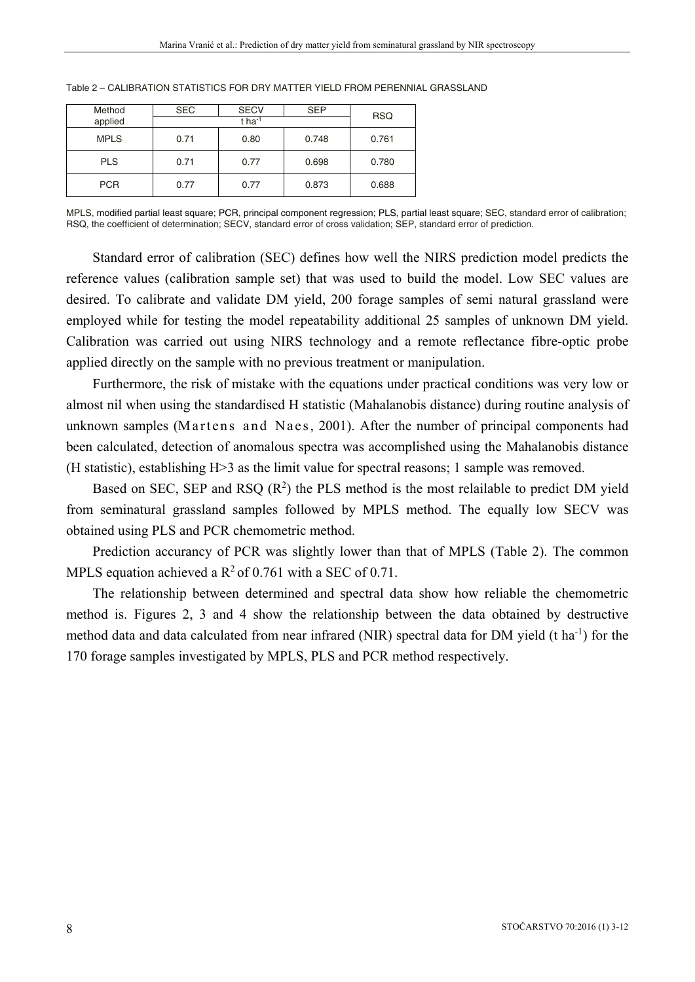| Method      | <b>SEC</b> | <b>SECV</b> | <b>SEP</b> | <b>RSQ</b> |
|-------------|------------|-------------|------------|------------|
| applied     |            |             |            |            |
| <b>MPLS</b> | 0.71       | 0.80        | 0.748      | 0.761      |
| <b>PLS</b>  | 0.71       | 0.77        | 0.698      | 0.780      |
| <b>PCR</b>  | 0.77       | 0.77        | 0.873      | 0.688      |

Table 2 – CALIBRATION STATISTICS FOR DRY MATTER YIELD FROM PERENNIAL GRASSLAND

MPLS, modified partial least square; PCR, principal component regression; PLS, partial least square; SEC, standard error of calibration; RSQ, the coefficient of determination; SECV, standard error of cross validation; SEP, standard error of prediction.

Standard error of calibration (SEC) defines how well the NIRS prediction model predicts the reference values (calibration sample set) that was used to build the model. Low SEC values are desired. To calibrate and validate DM yield, 200 forage samples of semi natural grassland were employed while for testing the model repeatability additional 25 samples of unknown DM yield. Calibration was carried out using NIRS technology and a remote reflectance fibre-optic probe applied directly on the sample with no previous treatment or manipulation.

Furthermore, the risk of mistake with the equations under practical conditions was very low or almost nil when using the standardised H statistic (Mahalanobis distance) during routine analysis of unknown samples (Martens and Naes, 2001). After the number of principal components had been calculated, detection of anomalous spectra was accomplished using the Mahalanobis distance (H statistic), establishing H>3 as the limit value for spectral reasons; 1 sample was removed.

Based on SEC, SEP and RSQ  $(R^2)$  the PLS method is the most relailable to predict DM yield from seminatural grassland samples followed by MPLS method. The equally low SECV was obtained using PLS and PCR chemometric method.

Prediction accurancy of PCR was slightly lower than that of MPLS (Table 2). The common MPLS equation achieved a  $\mathbb{R}^2$  of 0.761 with a SEC of 0.71.

The relationship between determined and spectral data show how reliable the chemometric method is. Figures 2, 3 and 4 show the relationship between the data obtained by destructive method data and data calculated from near infrared (NIR) spectral data for DM yield (t ha<sup>-1</sup>) for the 170 forage samples investigated by MPLS, PLS and PCR method respectively.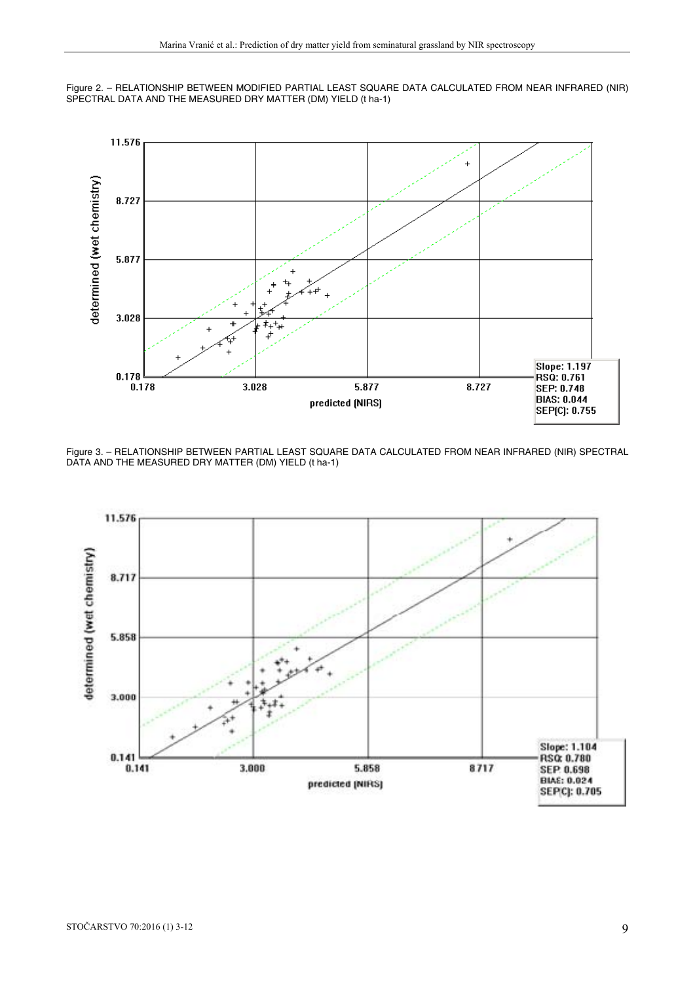



Figure 3. – RELATIONSHIP BETWEEN PARTIAL LEAST SQUARE DATA CALCULATED FROM NEAR INFRARED (NIR) SPECTRAL DATA AND THE MEASURED DRY MATTER (DM) YIELD (t ha-1)

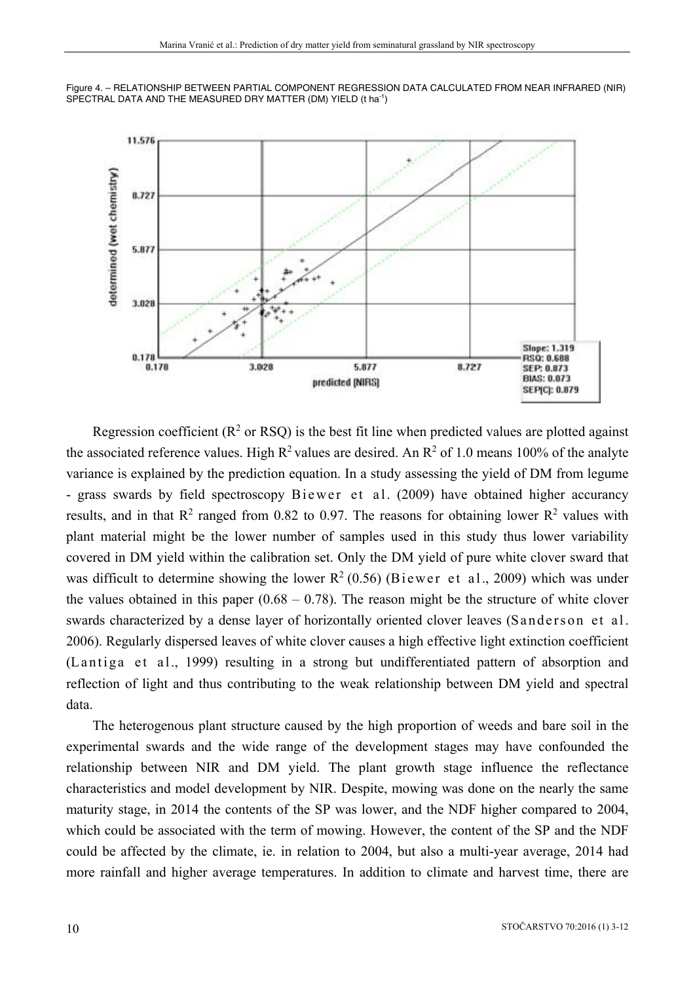



Regression coefficient ( $\mathbb{R}^2$  or RSQ) is the best fit line when predicted values are plotted against the associated reference values. High  $R^2$  values are desired. An  $R^2$  of 1.0 means 100% of the analyte variance is explained by the prediction equation. In a study assessing the yield of DM from legume - grass swards by field spectroscopy Biewer et al. (2009) have obtained higher accurancy results, and in that  $R^2$  ranged from 0.82 to 0.97. The reasons for obtaining lower  $R^2$  values with plant material might be the lower number of samples used in this study thus lower variability covered in DM yield within the calibration set. Only the DM yield of pure white clover sward that was difficult to determine showing the lower  $R^2$  (0.56) (Biewer et al., 2009) which was under the values obtained in this paper  $(0.68 - 0.78)$ . The reason might be the structure of white clover swards characterized by a dense layer of horizontally oriented clover leaves (Sanderson et al. 2006). Regularly dispersed leaves of white clover causes a high effective light extinction coefficient (Lantiga et al., 1999) resulting in a strong but undifferentiated pattern of absorption and reflection of light and thus contributing to the weak relationship between DM yield and spectral data.

The heterogenous plant structure caused by the high proportion of weeds and bare soil in the experimental swards and the wide range of the development stages may have confounded the relationship between NIR and DM yield. The plant growth stage influence the reflectance characteristics and model development by NIR. Despite, mowing was done on the nearly the same maturity stage, in 2014 the contents of the SP was lower, and the NDF higher compared to 2004, which could be associated with the term of mowing. However, the content of the SP and the NDF could be affected by the climate, ie. in relation to 2004, but also a multi-year average, 2014 had more rainfall and higher average temperatures. In addition to climate and harvest time, there are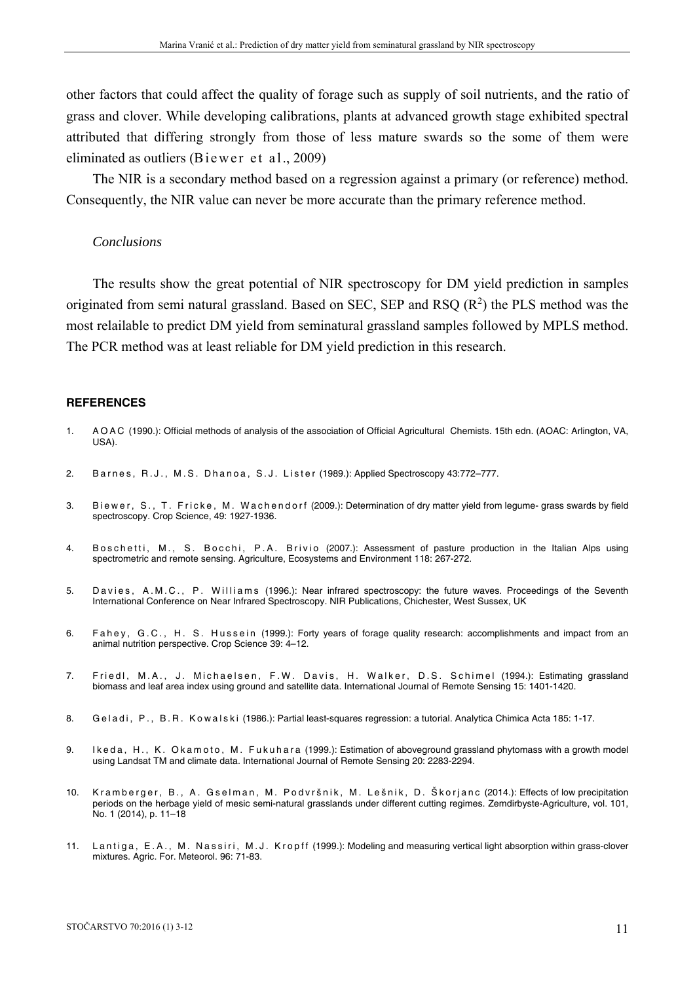other factors that could affect the quality of forage such as supply of soil nutrients, and the ratio of grass and clover. While developing calibrations, plants at advanced growth stage exhibited spectral attributed that differing strongly from those of less mature swards so the some of them were eliminated as outliers (Bi e wer et al., 2009)

The NIR is a secondary method based on a regression against a primary (or reference) method. Consequently, the NIR value can never be more accurate than the primary reference method.

#### *Conclusions*

The results show the great potential of NIR spectroscopy for DM yield prediction in samples originated from semi natural grassland. Based on SEC, SEP and RSQ  $(R^2)$  the PLS method was the most relailable to predict DM yield from seminatural grassland samples followed by MPLS method. The PCR method was at least reliable for DM yield prediction in this research.

#### **REFERENCES**

- 1. A O A C (1990.): Official methods of analysis of the association of Official Agricultural Chemists. 15th edn. (AOAC: Arlington, VA, USA).
- 2. Barnes, R.J., M.S. Dhanoa, S.J. Lister (1989.): Applied Spectroscopy 43:772-777.
- 3. Biewer, S., T. Fricke, M. Wachendorf (2009.): Determination of dry matter yield from legume- grass swards by field spectroscopy. Crop Science, 49: 1927-1936.
- 4. Boschetti, M., S. Bocchi, P.A. Brivio (2007.): Assessment of pasture production in the Italian Alps using spectrometric and remote sensing. Agriculture, Ecosystems and Environment 118: 267-272.
- 5. Davies, A.M.C., P. Williams (1996.): Near infrared spectroscopy: the future waves. Proceedings of the Seventh International Conference on Near Infrared Spectroscopy. NIR Publications, Chichester, West Sussex, UK
- 6. Fahey, G.C., H. S. Hussein (1999.): Forty years of forage quality research: accomplishments and impact from an animal nutrition perspective. Crop Science 39: 4–12.
- 7. Friedl, M.A., J. Michaelsen, F.W. Davis, H. Walker, D.S. Schimel (1994.): Estimating grassland biomass and leaf area index using ground and satellite data. International Journal of Remote Sensing 15: 1401-1420.
- 8. Geladi, P., B.R. Kowalski (1986.): Partial least-squares regression: a tutorial. Analytica Chimica Acta 185: 1-17.
- 9. Ikeda, H., K. Okamoto, M. Fukuhara (1999.): Estimation of aboveground grassland phytomass with a growth model using Landsat TM and climate data. International Journal of Remote Sensing 20: 2283-2294.
- 10. Kramberger, B., A. Gselman, M. Podvršnik, M. Lešnik, D. Škorianc (2014.): Effects of low precipitation periods on the herbage yield of mesic semi-natural grasslands under different cutting regimes. Zemdirbyste-Agriculture, vol. 101, No. 1 (2014), p. 11–18
- 11. Lantiga, E.A., M. Nassiri, M.J. Kropff (1999.): Modeling and measuring vertical light absorption within grass-clover mixtures. Agric. For. Meteorol. 96: 71-83.